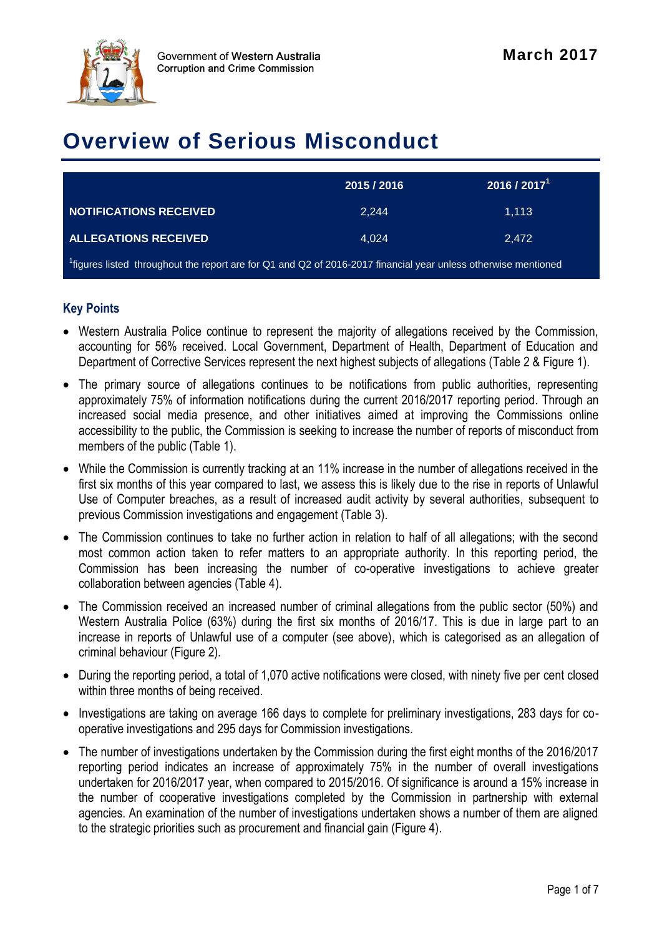

# **Overview of Serious Misconduct**

|                                                                                                                            | 2015 / 2016 | 2016 / 2017 <sup>1</sup> |  |  |  |
|----------------------------------------------------------------------------------------------------------------------------|-------------|--------------------------|--|--|--|
| NOTIFICATIONS RECEIVED                                                                                                     | 2.244       | 1,113                    |  |  |  |
| <b>ALLEGATIONS RECEIVED</b>                                                                                                | 4.024       | 2.472                    |  |  |  |
| <sup>1</sup> figures listed throughout the report are for Q1 and Q2 of 2016-2017 financial year unless otherwise mentioned |             |                          |  |  |  |

#### **Key Points**

- Western Australia Police continue to represent the majority of allegations received by the Commission, accounting for 56% received. Local Government, Department of Health, Department of Education and Department of Corrective Services represent the next highest subjects of allegations (Table 2 & Figure 1).
- The primary source of allegations continues to be notifications from public authorities, representing approximately 75% of information notifications during the current 2016/2017 reporting period. Through an increased social media presence, and other initiatives aimed at improving the Commissions online accessibility to the public, the Commission is seeking to increase the number of reports of misconduct from members of the public (Table 1).
- While the Commission is currently tracking at an 11% increase in the number of allegations received in the first six months of this year compared to last, we assess this is likely due to the rise in reports of Unlawful Use of Computer breaches, as a result of increased audit activity by several authorities, subsequent to previous Commission investigations and engagement (Table 3).
- The Commission continues to take no further action in relation to half of all allegations; with the second most common action taken to refer matters to an appropriate authority. In this reporting period, the Commission has been increasing the number of co-operative investigations to achieve greater collaboration between agencies (Table 4).
- The Commission received an increased number of criminal allegations from the public sector (50%) and Western Australia Police (63%) during the first six months of 2016/17. This is due in large part to an increase in reports of Unlawful use of a computer (see above), which is categorised as an allegation of criminal behaviour (Figure 2).
- During the reporting period, a total of 1,070 active notifications were closed, with ninety five per cent closed within three months of being received.
- Investigations are taking on average 166 days to complete for preliminary investigations, 283 days for cooperative investigations and 295 days for Commission investigations.
- The number of investigations undertaken by the Commission during the first eight months of the 2016/2017 reporting period indicates an increase of approximately 75% in the number of overall investigations undertaken for 2016/2017 year, when compared to 2015/2016. Of significance is around a 15% increase in the number of cooperative investigations completed by the Commission in partnership with external agencies. An examination of the number of investigations undertaken shows a number of them are aligned to the strategic priorities such as procurement and financial gain (Figure 4).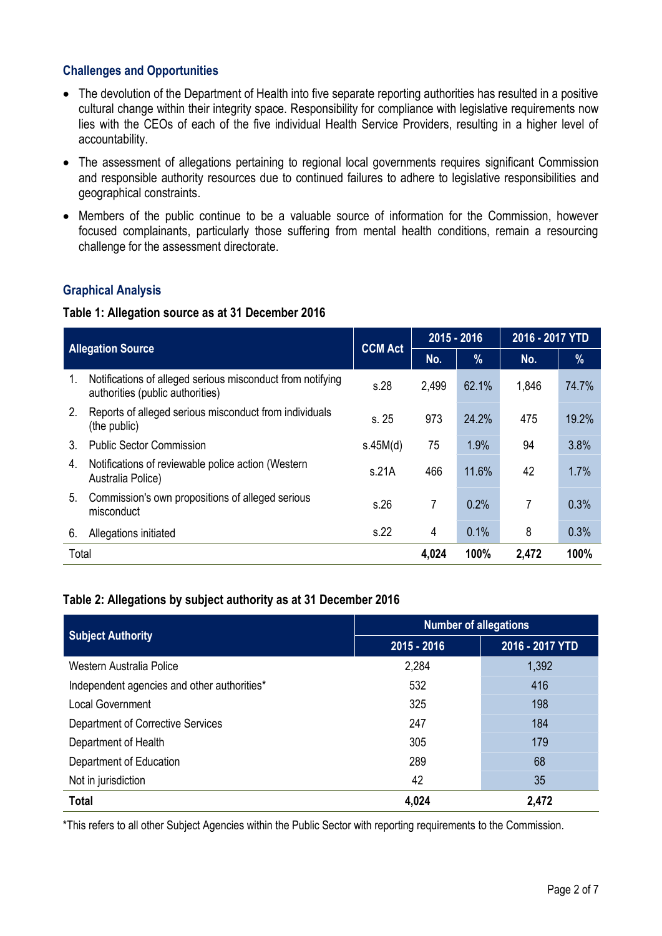#### **Challenges and Opportunities**

- The devolution of the Department of Health into five separate reporting authorities has resulted in a positive cultural change within their integrity space. Responsibility for compliance with legislative requirements now lies with the CEOs of each of the five individual Health Service Providers, resulting in a higher level of accountability.
- The assessment of allegations pertaining to regional local governments requires significant Commission and responsible authority resources due to continued failures to adhere to legislative responsibilities and geographical constraints.
- Members of the public continue to be a valuable source of information for the Commission, however focused complainants, particularly those suffering from mental health conditions, remain a resourcing challenge for the assessment directorate.

#### **Graphical Analysis**

#### **Table 1: Allegation source as at 31 December 2016**

| <b>Allegation Source</b> |                                                                                                | <b>CCM Act</b> | 2015 - 2016 |       | 2016 - 2017 YTD |       |
|--------------------------|------------------------------------------------------------------------------------------------|----------------|-------------|-------|-----------------|-------|
|                          |                                                                                                |                | No.         | %     | No.             | %     |
| 1.                       | Notifications of alleged serious misconduct from notifying<br>authorities (public authorities) |                | 2,499       | 62.1% | 1,846           | 74.7% |
| 2.                       | Reports of alleged serious misconduct from individuals<br>(the public)                         |                | 973         | 24.2% | 475             | 19.2% |
| 3.                       | <b>Public Sector Commission</b>                                                                | s.45M(d)       | 75          | 1.9%  | 94              | 3.8%  |
| 4.                       | Notifications of reviewable police action (Western<br>Australia Police)                        | s.21A          | 466         | 11.6% | 42              | 1.7%  |
| 5.                       | Commission's own propositions of alleged serious<br>misconduct                                 | s.26           | 7           | 0.2%  | 7               | 0.3%  |
| 6.                       | Allegations initiated                                                                          | s.22           | 4           | 0.1%  | 8               | 0.3%  |
| Total                    |                                                                                                |                | 4,024       | 100%  | 2,472           | 100%  |

#### **Table 2: Allegations by subject authority as at 31 December 2016**

|                                             | <b>Number of allegations</b> |                 |  |  |
|---------------------------------------------|------------------------------|-----------------|--|--|
| <b>Subject Authority</b>                    | 2015 - 2016                  | 2016 - 2017 YTD |  |  |
| Western Australia Police                    | 2,284                        | 1,392           |  |  |
| Independent agencies and other authorities* | 532                          | 416             |  |  |
| <b>Local Government</b>                     | 325                          | 198             |  |  |
| Department of Corrective Services           | 247                          | 184             |  |  |
| Department of Health                        | 305                          | 179             |  |  |
| Department of Education                     | 289                          | 68              |  |  |
| Not in jurisdiction                         | 42                           | 35              |  |  |
| <b>Total</b>                                | 4,024                        | 2,472           |  |  |

\*This refers to all other Subject Agencies within the Public Sector with reporting requirements to the Commission.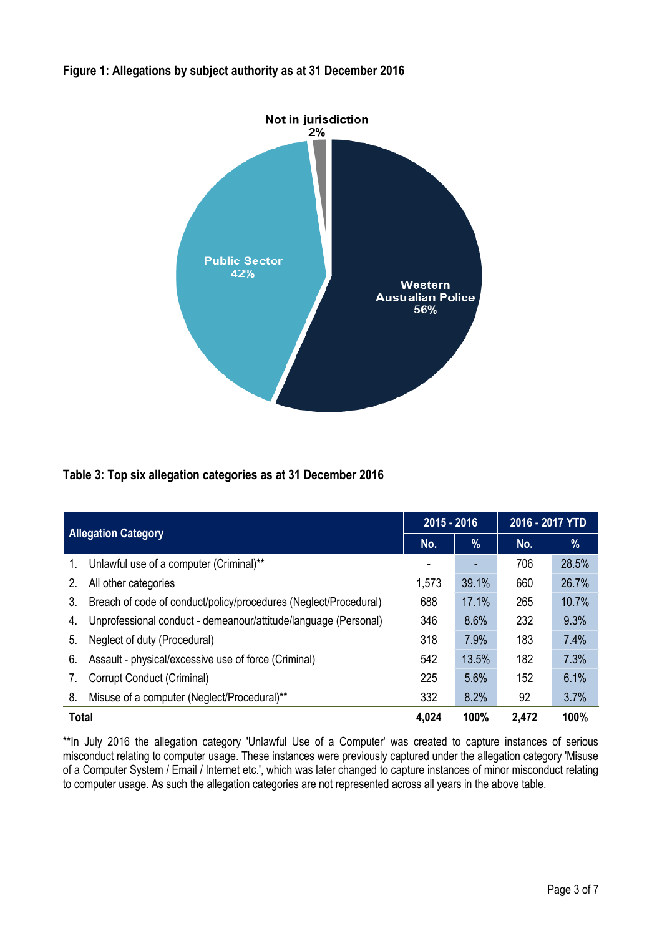#### **Figure 1: Allegations by subject authority as at 31 December 2016**



#### **Table 3: Top six allegation categories as at 31 December 2016**

| <b>Allegation Category</b> |                                                                         | 2015 - 2016 |       | 2016 - 2017 YTD |       |
|----------------------------|-------------------------------------------------------------------------|-------------|-------|-----------------|-------|
|                            |                                                                         | No.         | $\%$  | No.             | %     |
| 1.                         | Unlawful use of a computer (Criminal)**                                 |             |       | 706             | 28.5% |
| $2_{1}$                    | 1,573<br>All other categories                                           |             | 39.1% | 660             | 26.7% |
| 3.                         | 688<br>Breach of code of conduct/policy/procedures (Neglect/Procedural) |             | 17.1% | 265             | 10.7% |
| 4.                         | Unprofessional conduct - demeanour/attitude/language (Personal)         | 346         | 8.6%  | 232             | 9.3%  |
| 5.                         | Neglect of duty (Procedural)                                            | 318         | 7.9%  | 183             | 7.4%  |
| 6.                         | Assault - physical/excessive use of force (Criminal)                    |             | 13.5% | 182             | 7.3%  |
| 7.                         | Corrupt Conduct (Criminal)                                              |             | 5.6%  | 152             | 6.1%  |
| 8.                         | Misuse of a computer (Neglect/Procedural)**                             | 332         | 8.2%  | 92              | 3.7%  |
| <b>Total</b>               |                                                                         |             | 100%  | 2,472           | 100%  |

\*\*In July 2016 the allegation category 'Unlawful Use of a Computer' was created to capture instances of serious misconduct relating to computer usage. These instances were previously captured under the allegation category 'Misuse of a Computer System / Email / Internet etc.', which was later changed to capture instances of minor misconduct relating to computer usage. As such the allegation categories are not represented across all years in the above table.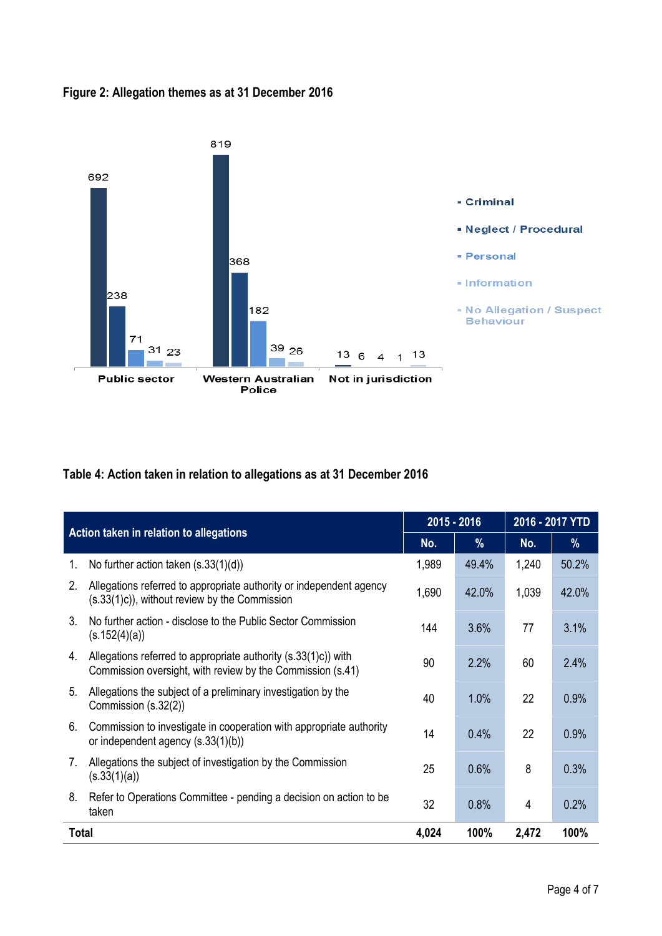#### **Figure 2: Allegation themes as at 31 December 2016**



## **Table 4: Action taken in relation to allegations as at 31 December 2016**

| Action taken in relation to allegations                                                                         |                                                                                                                                    | 2015 - 2016 |       | 2016 - 2017 YTD |       |
|-----------------------------------------------------------------------------------------------------------------|------------------------------------------------------------------------------------------------------------------------------------|-------------|-------|-----------------|-------|
|                                                                                                                 |                                                                                                                                    | No.         | $\%$  | No.             | %     |
| 1.                                                                                                              | No further action taken $(s.33(1)(d))$                                                                                             |             | 49.4% | 1,240           | 50.2% |
| 2.                                                                                                              | Allegations referred to appropriate authority or independent agency<br>1,690<br>$(s.33(1)c)$ , without review by the Commission    |             | 42.0% | 1,039           | 42.0% |
| $3_{\cdot}$                                                                                                     | No further action - disclose to the Public Sector Commission<br>144<br>(s.152(4)(a))                                               |             | 3.6%  | 77              | 3.1%  |
| 4.                                                                                                              | Allegations referred to appropriate authority (s.33(1)c)) with<br>90<br>Commission oversight, with review by the Commission (s.41) |             | 2.2%  | 60              | 2.4%  |
| 5.                                                                                                              | Allegations the subject of a preliminary investigation by the<br>40<br>Commission (s.32(2))                                        |             | 1.0%  | 22              | 0.9%  |
| 6.<br>Commission to investigate in cooperation with appropriate authority<br>or independent agency (s.33(1)(b)) |                                                                                                                                    | 14          | 0.4%  | 22              | 0.9%  |
| Allegations the subject of investigation by the Commission<br>7.<br>(s.33(1)(a))                                |                                                                                                                                    | 25          | 0.6%  | 8               | 0.3%  |
| 8.<br>Refer to Operations Committee - pending a decision on action to be<br>taken                               |                                                                                                                                    | 32          | 0.8%  | 4               | 0.2%  |
| <b>Total</b>                                                                                                    |                                                                                                                                    | 4,024       | 100%  | 2,472           | 100%  |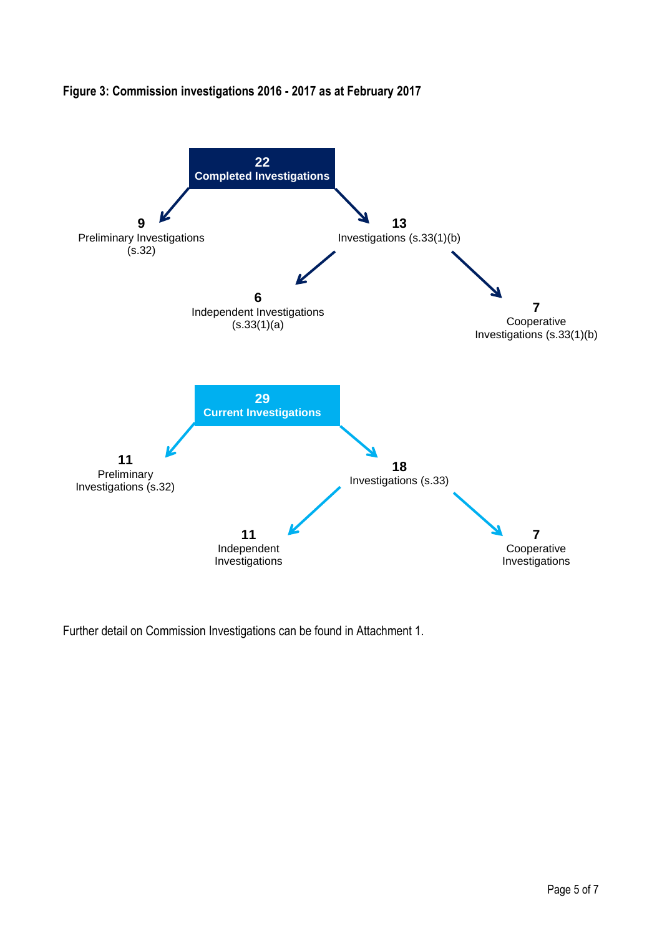

### **Figure 3: Commission investigations 2016 - 2017 as at February 2017**

Further detail on Commission Investigations can be found in Attachment 1.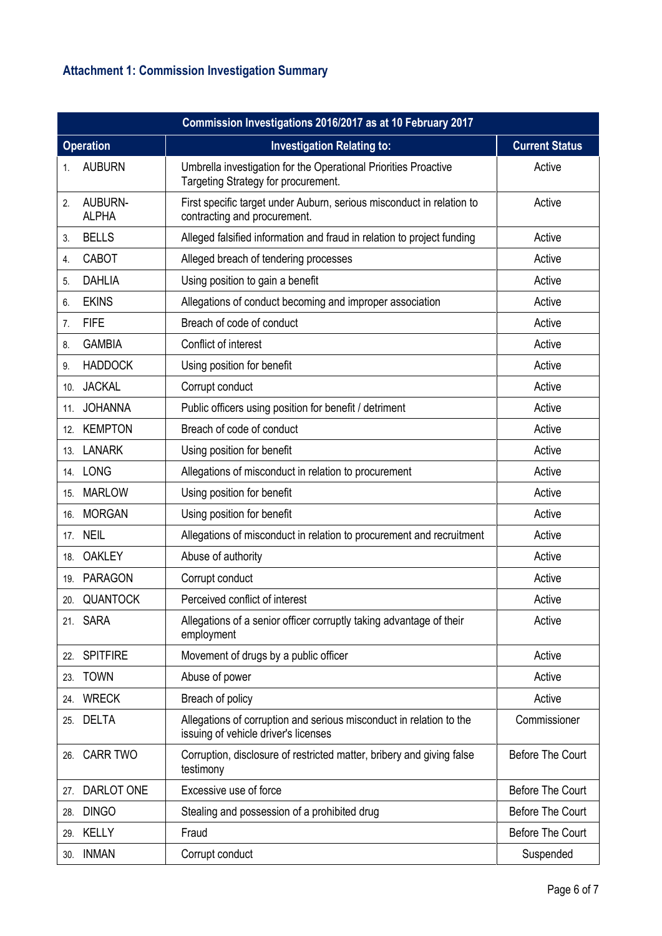# **Attachment 1: Commission Investigation Summary**

|                | Commission Investigations 2016/2017 as at 10 February 2017 |                                                                                                             |                         |  |  |
|----------------|------------------------------------------------------------|-------------------------------------------------------------------------------------------------------------|-------------------------|--|--|
|                | <b>Operation</b>                                           | <b>Investigation Relating to:</b>                                                                           | <b>Current Status</b>   |  |  |
| 1.             | <b>AUBURN</b>                                              | Umbrella investigation for the Operational Priorities Proactive<br>Targeting Strategy for procurement.      | Active                  |  |  |
| 2.             | AUBURN-<br><b>ALPHA</b>                                    | First specific target under Auburn, serious misconduct in relation to<br>contracting and procurement.       | Active                  |  |  |
| 3.             | <b>BELLS</b>                                               | Alleged falsified information and fraud in relation to project funding                                      | Active                  |  |  |
| 4.             | <b>CABOT</b>                                               | Alleged breach of tendering processes                                                                       | Active                  |  |  |
| 5.             | <b>DAHLIA</b>                                              | Using position to gain a benefit                                                                            | Active                  |  |  |
| 6.             | <b>EKINS</b>                                               | Allegations of conduct becoming and improper association                                                    | Active                  |  |  |
| 7 <sub>1</sub> | <b>FIFE</b>                                                | Breach of code of conduct                                                                                   | Active                  |  |  |
| 8.             | <b>GAMBIA</b>                                              | Conflict of interest                                                                                        | Active                  |  |  |
| 9.             | <b>HADDOCK</b>                                             | Using position for benefit                                                                                  | Active                  |  |  |
| 10.            | <b>JACKAL</b>                                              | Corrupt conduct                                                                                             | Active                  |  |  |
| 11.            | <b>JOHANNA</b>                                             | Public officers using position for benefit / detriment                                                      | Active                  |  |  |
| 12.            | <b>KEMPTON</b>                                             | Breach of code of conduct                                                                                   | Active                  |  |  |
|                | 13. LANARK                                                 | Using position for benefit                                                                                  | Active                  |  |  |
|                | 14. LONG                                                   | Allegations of misconduct in relation to procurement                                                        | Active                  |  |  |
| 15.            | <b>MARLOW</b>                                              | Using position for benefit                                                                                  | Active                  |  |  |
| 16.            | <b>MORGAN</b>                                              | Using position for benefit                                                                                  | Active                  |  |  |
| 17.            | <b>NEIL</b>                                                | Allegations of misconduct in relation to procurement and recruitment                                        | Active                  |  |  |
| 18.            | <b>OAKLEY</b>                                              | Abuse of authority                                                                                          | Active                  |  |  |
| 19.            | <b>PARAGON</b>                                             | Corrupt conduct                                                                                             | Active                  |  |  |
| 20.            | <b>QUANTOCK</b>                                            | Perceived conflict of interest                                                                              | Active                  |  |  |
|                | 21. SARA                                                   | Allegations of a senior officer corruptly taking advantage of their<br>employment                           | Active                  |  |  |
| 22.            | <b>SPITFIRE</b>                                            | Movement of drugs by a public officer                                                                       | Active                  |  |  |
| 23.            | <b>TOWN</b>                                                | Abuse of power                                                                                              | Active                  |  |  |
|                | 24. WRECK                                                  | Breach of policy                                                                                            | Active                  |  |  |
| 25.            | <b>DELTA</b>                                               | Allegations of corruption and serious misconduct in relation to the<br>issuing of vehicle driver's licenses | Commissioner            |  |  |
| 26.            | <b>CARR TWO</b>                                            | Corruption, disclosure of restricted matter, bribery and giving false<br>testimony                          | <b>Before The Court</b> |  |  |
| 27.            | DARLOT ONE                                                 | Excessive use of force                                                                                      | <b>Before The Court</b> |  |  |
| 28.            | <b>DINGO</b>                                               | Stealing and possession of a prohibited drug                                                                | <b>Before The Court</b> |  |  |
|                | 29. KELLY                                                  | Fraud                                                                                                       | <b>Before The Court</b> |  |  |
| 30.            | <b>INMAN</b>                                               | Corrupt conduct                                                                                             | Suspended               |  |  |